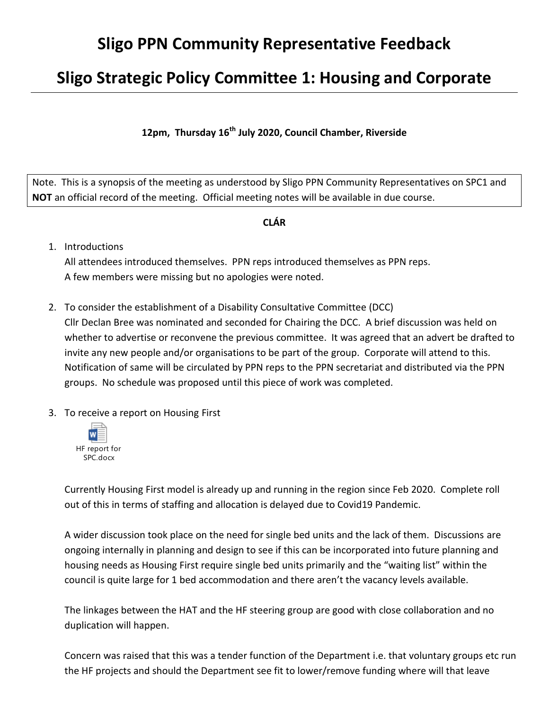## **Sligo PPN Community Representative Feedback**

## **Sligo Strategic Policy Committee 1: Housing and Corporate**

**12pm, Thursday 16th July 2020, Council Chamber, Riverside**

Note. This is a synopsis of the meeting as understood by Sligo PPN Community Representatives on SPC1 and **NOT** an official record of the meeting. Official meeting notes will be available in due course.

## **CLÁR**

1. Introductions

All attendees introduced themselves. PPN reps introduced themselves as PPN reps. A few members were missing but no apologies were noted.

- 2. To consider the establishment of a Disability Consultative Committee (DCC) Cllr Declan Bree was nominated and seconded for Chairing the DCC. A brief discussion was held on whether to advertise or reconvene the previous committee. It was agreed that an advert be drafted to invite any new people and/or organisations to be part of the group. Corporate will attend to this. Notification of same will be circulated by PPN reps to the PPN secretariat and distributed via the PPN groups. No schedule was proposed until this piece of work was completed.
- 3. To receive a report on Housing First



Currently Housing First model is already up and running in the region since Feb 2020. Complete roll out of this in terms of staffing and allocation is delayed due to Covid19 Pandemic.

A wider discussion took place on the need for single bed units and the lack of them. Discussions are ongoing internally in planning and design to see if this can be incorporated into future planning and housing needs as Housing First require single bed units primarily and the "waiting list" within the council is quite large for 1 bed accommodation and there aren't the vacancy levels available.

The linkages between the HAT and the HF steering group are good with close collaboration and no duplication will happen.

Concern was raised that this was a tender function of the Department i.e. that voluntary groups etc run the HF projects and should the Department see fit to lower/remove funding where will that leave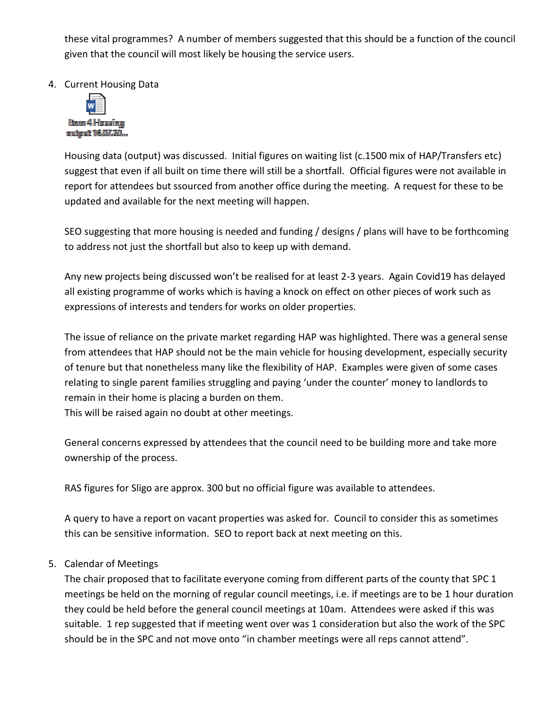these vital programmes? A number of members suggested that this should be a function of the council given that the council will most likely be housing the service users.

4. Current Housing Data



Housing data (output) was discussed. Initial figures on waiting list (c.1500 mix of HAP/Transfers etc) suggest that even if all built on time there will still be a shortfall. Official figures were not available in report for attendees but ssourced from another office during the meeting. A request for these to be updated and available for the next meeting will happen.

SEO suggesting that more housing is needed and funding / designs / plans will have to be forthcoming to address not just the shortfall but also to keep up with demand.

Any new projects being discussed won't be realised for at least 2-3 years. Again Covid19 has delayed all existing programme of works which is having a knock on effect on other pieces of work such as expressions of interests and tenders for works on older properties.

The issue of reliance on the private market regarding HAP was highlighted. There was a general sense from attendees that HAP should not be the main vehicle for housing development, especially security of tenure but that nonetheless many like the flexibility of HAP. Examples were given of some cases relating to single parent families struggling and paying 'under the counter' money to landlords to remain in their home is placing a burden on them.

This will be raised again no doubt at other meetings.

General concerns expressed by attendees that the council need to be building more and take more ownership of the process.

RAS figures for Sligo are approx. 300 but no official figure was available to attendees.

A query to have a report on vacant properties was asked for. Council to consider this as sometimes this can be sensitive information. SEO to report back at next meeting on this.

## 5. Calendar of Meetings

The chair proposed that to facilitate everyone coming from different parts of the county that SPC 1 meetings be held on the morning of regular council meetings, i.e. if meetings are to be 1 hour duration they could be held before the general council meetings at 10am. Attendees were asked if this was suitable. 1 rep suggested that if meeting went over was 1 consideration but also the work of the SPC should be in the SPC and not move onto "in chamber meetings were all reps cannot attend".